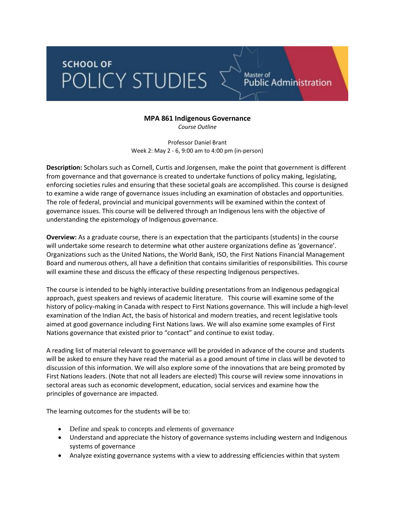## **SCHOOL OF** POLICY STUDIES

## **MPA 861 Indigenous Governance**

Master of<br>Public Administration

*Course Outline*

Professor Daniel Brant Week 2: May 2 - 6, 9:00 am to 4:00 pm (in-person)

**Description:** Scholars such as Cornell, Curtis and Jorgensen, make the point that government is different from governance and that governance is created to undertake functions of policy making, legislating, enforcing societies rules and ensuring that these societal goals are accomplished. This course is designed to examine a wide range of governance issues including an examination of obstacles and opportunities. The role of federal, provincial and municipal governments will be examined within the context of governance issues. This course will be delivered through an Indigenous lens with the objective of understanding the epistemology of Indigenous governance.

**Overview:** As a graduate course, there is an expectation that the participants (students) in the course will undertake some research to determine what other austere organizations define as 'governance'. Organizations such as the United Nations, the World Bank, ISO, the First Nations Financial Management Board and numerous others, all have a definition that contains similarities of responsibilities. This course will examine these and discuss the efficacy of these respecting Indigenous perspectives.

The course is intended to be highly interactive building presentations from an Indigenous pedagogical approach, guest speakers and reviews of academic literature. This course will examine some of the history of policy-making in Canada with respect to First Nations governance. This will include a high-level examination of the Indian Act, the basis of historical and modern treaties, and recent legislative tools aimed at good governance including First Nations laws. We will also examine some examples of First Nations governance that existed prior to "contact" and continue to exist today.

A reading list of material relevant to governance will be provided in advance of the course and students will be asked to ensure they have read the material as a good amount of time in class will be devoted to discussion of this information. We will also explore some of the innovations that are being promoted by First Nations leaders. (Note that not all leaders are elected) This course will review some innovations in sectoral areas such as economic development, education, social services and examine how the principles of governance are impacted.

The learning outcomes for the students will be to:

- Define and speak to concepts and elements of governance
- Understand and appreciate the history of governance systems including western and Indigenous systems of governance
- Analyze existing governance systems with a view to addressing efficiencies within that system